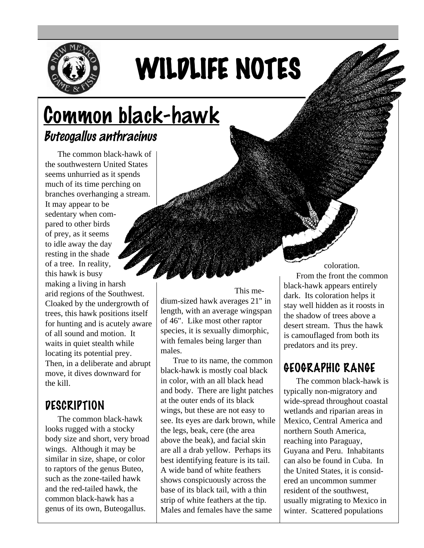

# WILDLIFE NOTES

# Common black-hawk Buteogallus anthracinus

The common black-hawk of the southwestern United States seems unhurried as it spends much of its time perching on branches overhanging a stream. It may appear to be sedentary when compared to other birds of prey, as it seems to idle away the day resting in the shade of a tree. In reality, this hawk is busy making a living in harsh arid regions of the Southwest. Cloaked by the undergrowth of trees, this hawk positions itself for hunting and is acutely aware of all sound and motion. It waits in quiet stealth while locating its potential prey. Then, in a deliberate and abrupt move, it dives downward for the kill.

#### **DESCRIPTION**

The common black-hawk looks rugged with a stocky body size and short, very broad wings. Although it may be similar in size, shape, or color to raptors of the genus Buteo, such as the zone-tailed hawk and the red-tailed hawk, the common black-hawk has a genus of its own, Buteogallus.

This medium-sized hawk averages 21" in length, with an average wingspan of 46". Like most other raptor species, it is sexually dimorphic, with females being larger than males.

True to its name, the common black-hawk is mostly coal black in color, with an all black head and body. There are light patches at the outer ends of its black wings, but these are not easy to see. Its eyes are dark brown, while the legs, beak, cere (the area above the beak), and facial skin are all a drab yellow. Perhaps its best identifying feature is its tail. A wide band of white feathers shows conspicuously across the base of its black tail, with a thin strip of white feathers at the tip. Males and females have the same

coloration. From the front the common black-hawk appears entirely dark. Its coloration helps it stay well hidden as it roosts in the shadow of trees above a desert stream. Thus the hawk is camouflaged from both its predators and its prey.

# GEOGRAPHIC RANGE

The common black-hawk is typically non-migratory and wide-spread throughout coastal wetlands and riparian areas in Mexico, Central America and northern South America, reaching into Paraguay, Guyana and Peru. Inhabitants can also be found in Cuba. In the United States, it is considered an uncommon summer resident of the southwest, usually migrating to Mexico in winter. Scattered populations